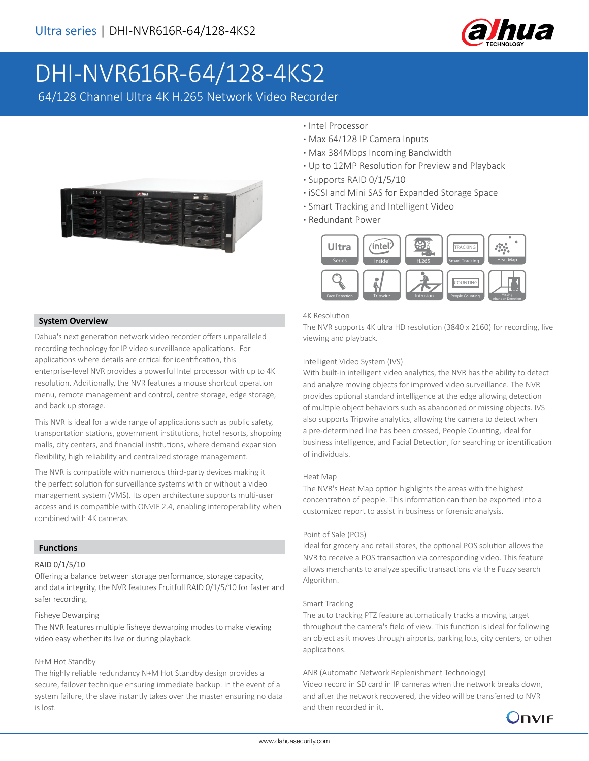

# DHI-NVR616R-64/128-4KS2

64/128 Channel Ultra 4K H.265 Network Video Recorder



# **·** Intel Processor

- **·** Max 64/128 IP Camera Inputs
- **·** Max 384Mbps Incoming Bandwidth
- **·** Up to 12MP Resolution for Preview and Playback
- **·** Supports RAID 0/1/5/10
- **·** iSCSI and Mini SAS for Expanded Storage Space
- **·** Smart Tracking and Intelligent Video
- **·** Redundant Power



#### 4K Resolution

The NVR supports 4K ultra HD resolution (3840 x 2160) for recording, live viewing and playback.

#### Intelligent Video System (IVS)

With built-in intelligent video analytics, the NVR has the ability to detect and analyze moving objects for improved video surveillance. The NVR provides optional standard intelligence at the edge allowing detection of multiple object behaviors such as abandoned or missing objects. IVS also supports Tripwire analytics, allowing the camera to detect when a pre-determined line has been crossed, People Counting, ideal for business intelligence, and Facial Detection, for searching or identification of individuals.

#### Heat Map

The NVR's Heat Map option highlights the areas with the highest concentration of people. This information can then be exported into a customized report to assist in business or forensic analysis.

#### Point of Sale (POS)

Ideal for grocery and retail stores, the optional POS solution allows the NVR to receive a POS transaction via corresponding video. This feature allows merchants to analyze specific transactions via the Fuzzy search Algorithm.

#### Smart Tracking

The auto tracking PTZ feature automatically tracks a moving target throughout the camera's field of view. This function is ideal for following an object as it moves through airports, parking lots, city centers, or other applications.

#### ANR (Automatic Network Replenishment Technology)

Video record in SD card in IP cameras when the network breaks down, and after the network recovered, the video will be transferred to NVR and then recorded in it.



# **System Overview**

Dahua's next generation network video recorder offers unparalleled recording technology for IP video surveillance applications. For applications where details are critical for identification, this enterprise-level NVR provides a powerful Intel processor with up to 4K resolution. Additionally, the NVR features a mouse shortcut operation menu, remote management and control, centre storage, edge storage, and back up storage.

This NVR is ideal for a wide range of applications such as public safety, transportation stations, government institutions, hotel resorts, shopping malls, city centers, and financial institutions, where demand expansion flexibility, high reliability and centralized storage management.

The NVR is compatible with numerous third-party devices making it the perfect solution for surveillance systems with or without a video management system (VMS). Its open architecture supports multi-user access and is compatible with ONVIF 2.4, enabling interoperability when combined with 4K cameras.

#### **Functions**

#### RAID 0/1/5/10

Offering a balance between storage performance, storage capacity, and data integrity, the NVR features Fruitfull RAID 0/1/5/10 for faster and safer recording.

#### Fisheye Dewarping

The NVR features multiple fisheye dewarping modes to make viewing video easy whether its live or during playback.

#### N+M Hot Standby

The highly reliable redundancy N+M Hot Standby design provides a secure, failover technique ensuring immediate backup. In the event of a system failure, the slave instantly takes over the master ensuring no data is lost.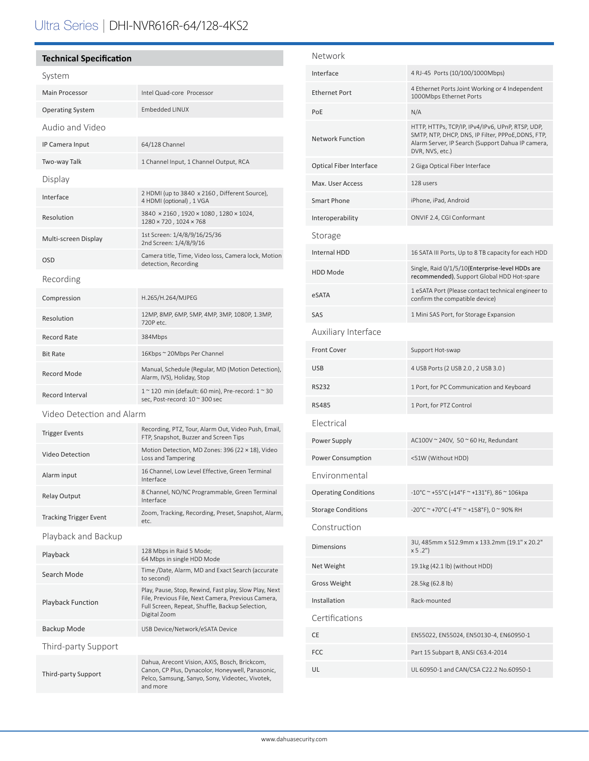# Ultra Series | DHI-NVR616R-64/128-4KS2

## **Technical Specification**

| System                        |                                                                                                                                                                                |  |  |
|-------------------------------|--------------------------------------------------------------------------------------------------------------------------------------------------------------------------------|--|--|
| <b>Main Processor</b>         | Intel Quad-core Processor                                                                                                                                                      |  |  |
| <b>Operating System</b>       | <b>Embedded LINUX</b>                                                                                                                                                          |  |  |
| Audio and Video               |                                                                                                                                                                                |  |  |
| IP Camera Input               | 64/128 Channel                                                                                                                                                                 |  |  |
| Two-way Talk                  | 1 Channel Input, 1 Channel Output, RCA                                                                                                                                         |  |  |
| Display                       |                                                                                                                                                                                |  |  |
| Interface                     | 2 HDMI (up to 3840 x 2160, Different Source),<br>4 HDMI (optional), 1 VGA                                                                                                      |  |  |
| Resolution                    | 3840 × 2160, 1920 × 1080, 1280 × 1024,<br>1280 × 720, 1024 × 768                                                                                                               |  |  |
| Multi-screen Display          | 1st Screen: 1/4/8/9/16/25/36<br>2nd Screen: 1/4/8/9/16                                                                                                                         |  |  |
| <b>OSD</b>                    | Camera title, Time, Video loss, Camera lock, Motion<br>detection, Recording                                                                                                    |  |  |
| Recording                     |                                                                                                                                                                                |  |  |
| Compression                   | H.265/H.264/MJPEG                                                                                                                                                              |  |  |
| Resolution                    | 12MP, 8MP, 6MP, 5MP, 4MP, 3MP, 1080P, 1.3MP,<br>720P etc.                                                                                                                      |  |  |
| Record Rate                   | 384Mbps                                                                                                                                                                        |  |  |
| <b>Bit Rate</b>               | 16Kbps ~ 20Mbps Per Channel                                                                                                                                                    |  |  |
| Record Mode                   | Manual, Schedule (Regular, MD (Motion Detection),<br>Alarm, IVS), Holiday, Stop                                                                                                |  |  |
| Record Interval               | 1 ~ 120 min (default: 60 min), Pre-record: 1 ~ 30<br>sec, Post-record: 10 ~ 300 sec                                                                                            |  |  |
| Video Detection and Alarm     |                                                                                                                                                                                |  |  |
| <b>Trigger Events</b>         | Recording, PTZ, Tour, Alarm Out, Video Push, Email,<br>FTP, Snapshot, Buzzer and Screen Tips                                                                                   |  |  |
| Video Detection               | Motion Detection, MD Zones: 396 (22 × 18), Video<br>Loss and Tampering                                                                                                         |  |  |
| Alarm input                   | 16 Channel, Low Level Effective, Green Terminal<br>Interface                                                                                                                   |  |  |
| Relay Output                  | 8 Channel, NO/NC Programmable, Green Terminal<br>Interface                                                                                                                     |  |  |
| <b>Tracking Trigger Event</b> | Zoom, Tracking, Recording, Preset, Snapshot, Alarm,<br>etc.                                                                                                                    |  |  |
| Playback and Backup           |                                                                                                                                                                                |  |  |
| Playback                      | 128 Mbps in Raid 5 Mode;<br>64 Mbps in single HDD Mode                                                                                                                         |  |  |
| Search Mode                   | Time /Date, Alarm, MD and Exact Search (accurate<br>to second)                                                                                                                 |  |  |
| <b>Playback Function</b>      | Play, Pause, Stop, Rewind, Fast play, Slow Play, Next<br>File, Previous File, Next Camera, Previous Camera,<br>Full Screen, Repeat, Shuffle, Backup Selection,<br>Digital Zoom |  |  |
| Backup Mode                   | USB Device/Network/eSATA Device                                                                                                                                                |  |  |
| Third-party Support           |                                                                                                                                                                                |  |  |
| Third-party Support           | Dahua, Arecont Vision, AXIS, Bosch, Brickcom,<br>Canon, CP Plus, Dynacolor, Honeywell, Panasonic,<br>Pelco, Samsung, Sanyo, Sony, Videotec, Vivotek,<br>and more               |  |  |

| Network                        |                                                                                                                                                                                |  |
|--------------------------------|--------------------------------------------------------------------------------------------------------------------------------------------------------------------------------|--|
| Interface                      | 4 RJ-45 Ports (10/100/1000Mbps)                                                                                                                                                |  |
| <b>Ethernet Port</b>           | 4 Ethernet Ports Joint Working or 4 Independent<br>1000Mbps Ethernet Ports                                                                                                     |  |
| PoE                            | N/A                                                                                                                                                                            |  |
| <b>Network Function</b>        | HTTP, HTTPs, TCP/IP, IPv4/IPv6, UPnP, RTSP, UDP,<br>SMTP, NTP, DHCP, DNS, IP Filter, PPPoE, DDNS, FTP,<br>Alarm Server, IP Search (Support Dahua IP camera,<br>DVR, NVS, etc.) |  |
| <b>Optical Fiber Interface</b> | 2 Giga Optical Fiber Interface                                                                                                                                                 |  |
| Max. User Access               | 128 users                                                                                                                                                                      |  |
| <b>Smart Phone</b>             | iPhone, iPad, Android                                                                                                                                                          |  |
| Interoperability               | ONVIF 2.4, CGI Conformant                                                                                                                                                      |  |
| Storage                        |                                                                                                                                                                                |  |
| <b>Internal HDD</b>            | 16 SATA III Ports, Up to 8 TB capacity for each HDD                                                                                                                            |  |
| <b>HDD Mode</b>                | Single, Raid 0/1/5/10 (Enterprise-level HDDs are<br>recommended), Support Global HDD Hot-spare                                                                                 |  |
| eSATA                          | 1 eSATA Port (Please contact technical engineer to<br>confirm the compatible device)                                                                                           |  |
| SAS                            | 1 Mini SAS Port, for Storage Expansion                                                                                                                                         |  |
| Auxiliary Interface            |                                                                                                                                                                                |  |
| <b>Front Cover</b>             | Support Hot-swap                                                                                                                                                               |  |
| <b>USB</b>                     | 4 USB Ports (2 USB 2.0, 2 USB 3.0)                                                                                                                                             |  |
| <b>RS232</b>                   | 1 Port, for PC Communication and Keyboard                                                                                                                                      |  |
| <b>RS485</b>                   | 1 Port, for PTZ Control                                                                                                                                                        |  |
| Flectrical                     |                                                                                                                                                                                |  |
| Power Supply                   | AC100V ~ 240V, 50 ~ 60 Hz, Redundant                                                                                                                                           |  |
| Power Consumption              | <51W (Without HDD)                                                                                                                                                             |  |
| Environmental                  |                                                                                                                                                                                |  |
| <b>Operating Conditions</b>    | -10°C ~ +55°C (+14°F ~ +131°F), 86 ~ 106kpa                                                                                                                                    |  |
| <b>Storage Conditions</b>      | -20°C ~ +70°C (-4°F ~ +158°F), 0 ~ 90% RH                                                                                                                                      |  |
| Construction                   |                                                                                                                                                                                |  |
| <b>Dimensions</b>              | 3U, 485mm x 512.9mm x 133.2mm (19.1" x 20.2"<br>x 5.2"                                                                                                                         |  |
| Net Weight                     | 19.1kg (42.1 lb) (without HDD)                                                                                                                                                 |  |
| <b>Gross Weight</b>            | 28.5kg (62.8 lb)                                                                                                                                                               |  |
| Installation                   | Rack-mounted                                                                                                                                                                   |  |
| Certifications                 |                                                                                                                                                                                |  |
| CE                             | EN55022, EN55024, EN50130-4, EN60950-1                                                                                                                                         |  |
| FCC                            | Part 15 Subpart B, ANSI C63.4-2014                                                                                                                                             |  |
| UL                             | UL 60950-1 and CAN/CSA C22.2 No.60950-1                                                                                                                                        |  |